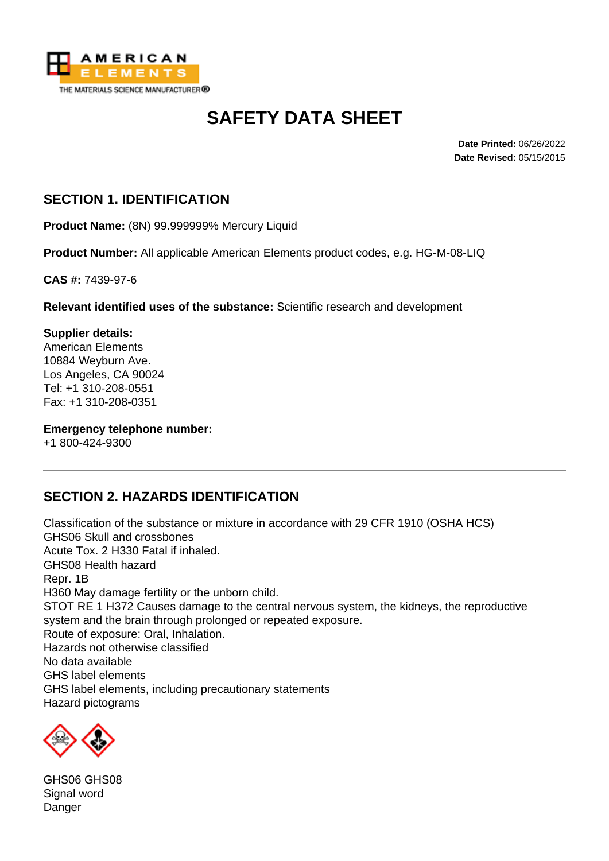

# **SAFETY DATA SHEET**

**Date Printed:** 06/26/2022 **Date Revised:** 05/15/2015

#### **SECTION 1. IDENTIFICATION**

**Product Name:** (8N) 99.999999% Mercury Liquid

**Product Number:** All applicable American Elements product codes, e.g. HG-M-08-LIQ

**CAS #:** 7439-97-6

**Relevant identified uses of the substance:** Scientific research and development

#### **Supplier details:**

American Elements 10884 Weyburn Ave. Los Angeles, CA 90024 Tel: +1 310-208-0551 Fax: +1 310-208-0351

**Emergency telephone number:** +1 800-424-9300

## **SECTION 2. HAZARDS IDENTIFICATION**

Classification of the substance or mixture in accordance with 29 CFR 1910 (OSHA HCS) GHS06 Skull and crossbones Acute Tox. 2 H330 Fatal if inhaled. GHS08 Health hazard Repr. 1B H360 May damage fertility or the unborn child. STOT RE 1 H372 Causes damage to the central nervous system, the kidneys, the reproductive system and the brain through prolonged or repeated exposure. Route of exposure: Oral, Inhalation. Hazards not otherwise classified No data available GHS label elements GHS label elements, including precautionary statements Hazard pictograms



GHS06 GHS08 Signal word Danger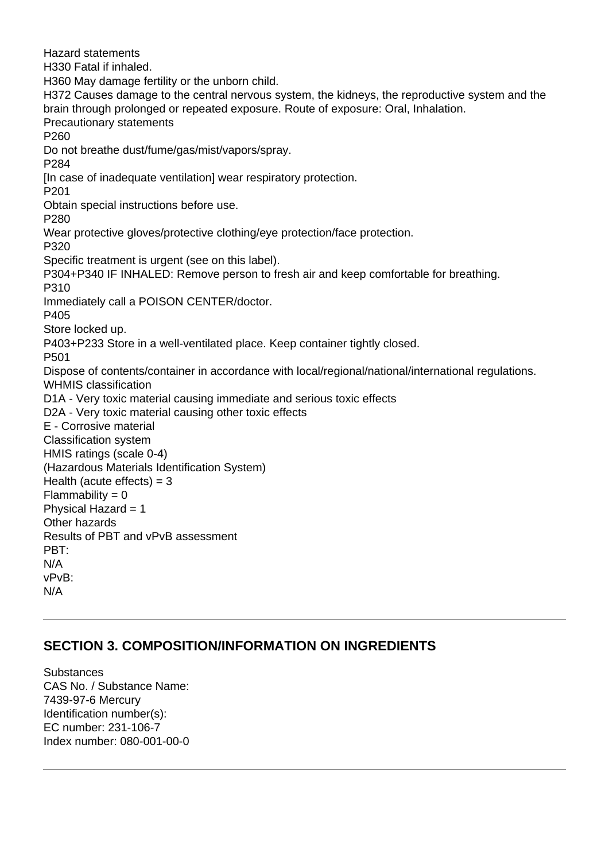Hazard statements H330 Fatal if inhaled. H360 May damage fertility or the unborn child. H372 Causes damage to the central nervous system, the kidneys, the reproductive system and the brain through prolonged or repeated exposure. Route of exposure: Oral, Inhalation. Precautionary statements P260 Do not breathe dust/fume/gas/mist/vapors/spray. P284 [In case of inadequate ventilation] wear respiratory protection. P201 Obtain special instructions before use. P280 Wear protective gloves/protective clothing/eye protection/face protection. P320 Specific treatment is urgent (see on this label). P304+P340 IF INHALED: Remove person to fresh air and keep comfortable for breathing. P310 Immediately call a POISON CENTER/doctor. P405 Store locked up. P403+P233 Store in a well-ventilated place. Keep container tightly closed. P501 Dispose of contents/container in accordance with local/regional/national/international regulations. WHMIS classification D1A - Very toxic material causing immediate and serious toxic effects D2A - Very toxic material causing other toxic effects E - Corrosive material Classification system HMIS ratings (scale 0-4) (Hazardous Materials Identification System) Health (acute effects)  $=$  3  $Flammability = 0$ Physical Hazard = 1 Other hazards Results of PBT and vPvB assessment PBT: N/A vPvB: N/A

## **SECTION 3. COMPOSITION/INFORMATION ON INGREDIENTS**

Substances CAS No. / Substance Name: 7439-97-6 Mercury Identification number(s): EC number: 231-106-7 Index number: 080-001-00-0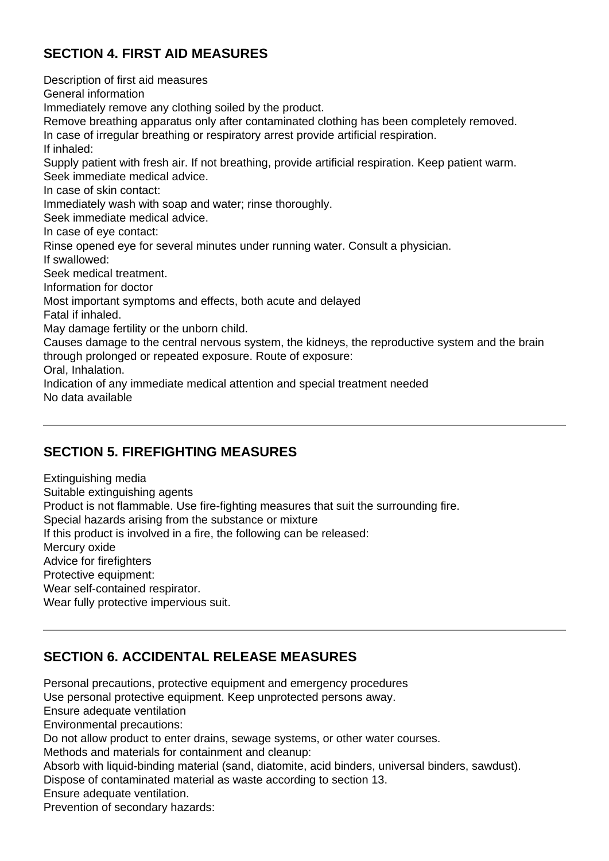## **SECTION 4. FIRST AID MEASURES**

Description of first aid measures General information Immediately remove any clothing soiled by the product. Remove breathing apparatus only after contaminated clothing has been completely removed. In case of irregular breathing or respiratory arrest provide artificial respiration. If inhaled: Supply patient with fresh air. If not breathing, provide artificial respiration. Keep patient warm. Seek immediate medical advice. In case of skin contact: Immediately wash with soap and water; rinse thoroughly. Seek immediate medical advice. In case of eye contact: Rinse opened eye for several minutes under running water. Consult a physician. If swallowed: Seek medical treatment. Information for doctor Most important symptoms and effects, both acute and delayed Fatal if inhaled. May damage fertility or the unborn child. Causes damage to the central nervous system, the kidneys, the reproductive system and the brain through prolonged or repeated exposure. Route of exposure: Oral, Inhalation. Indication of any immediate medical attention and special treatment needed No data available

## **SECTION 5. FIREFIGHTING MEASURES**

Extinguishing media Suitable extinguishing agents Product is not flammable. Use fire-fighting measures that suit the surrounding fire. Special hazards arising from the substance or mixture If this product is involved in a fire, the following can be released: Mercury oxide Advice for firefighters Protective equipment: Wear self-contained respirator. Wear fully protective impervious suit.

## **SECTION 6. ACCIDENTAL RELEASE MEASURES**

Personal precautions, protective equipment and emergency procedures Use personal protective equipment. Keep unprotected persons away. Ensure adequate ventilation Environmental precautions: Do not allow product to enter drains, sewage systems, or other water courses. Methods and materials for containment and cleanup: Absorb with liquid-binding material (sand, diatomite, acid binders, universal binders, sawdust). Dispose of contaminated material as waste according to section 13. Ensure adequate ventilation. Prevention of secondary hazards: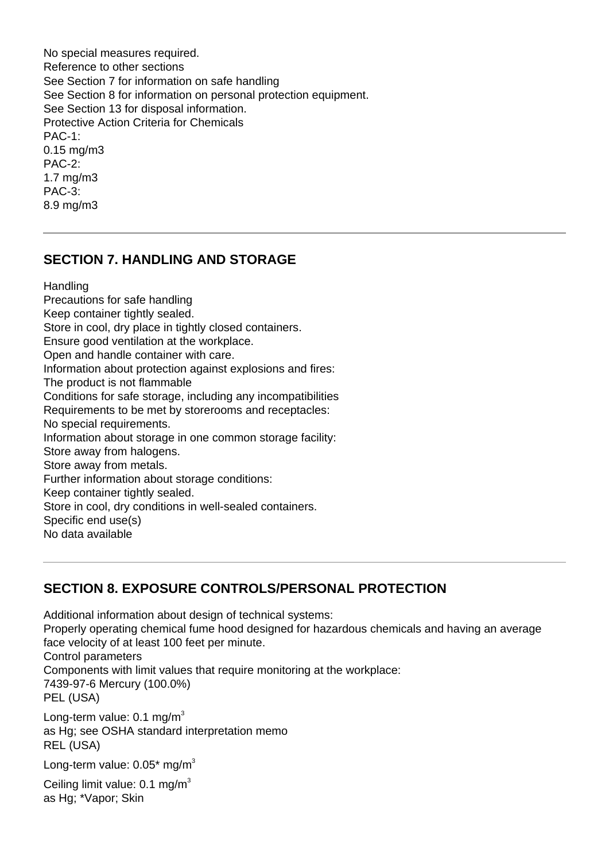No special measures required. Reference to other sections See Section 7 for information on safe handling See Section 8 for information on personal protection equipment. See Section 13 for disposal information. Protective Action Criteria for Chemicals PAC-1: 0.15 mg/m3 PAC-2: 1.7 mg/m3 PAC-3: 8.9 mg/m3

#### **SECTION 7. HANDLING AND STORAGE**

**Handling** 

Precautions for safe handling Keep container tightly sealed. Store in cool, dry place in tightly closed containers. Ensure good ventilation at the workplace. Open and handle container with care. Information about protection against explosions and fires: The product is not flammable Conditions for safe storage, including any incompatibilities Requirements to be met by storerooms and receptacles: No special requirements. Information about storage in one common storage facility: Store away from halogens. Store away from metals. Further information about storage conditions: Keep container tightly sealed. Store in cool, dry conditions in well-sealed containers. Specific end use(s) No data available

## **SECTION 8. EXPOSURE CONTROLS/PERSONAL PROTECTION**

Additional information about design of technical systems: Properly operating chemical fume hood designed for hazardous chemicals and having an average face velocity of at least 100 feet per minute. Control parameters Components with limit values that require monitoring at the workplace: 7439-97-6 Mercury (100.0%) PEL (USA) Long-term value:  $0.1 \text{ mg/m}^3$ as Hg; see OSHA standard interpretation memo REL (USA)

Long-term value:  $0.05*$  mg/m<sup>3</sup>

Ceiling limit value:  $0.1 \text{ mg/m}^3$ as Hg; \*Vapor; Skin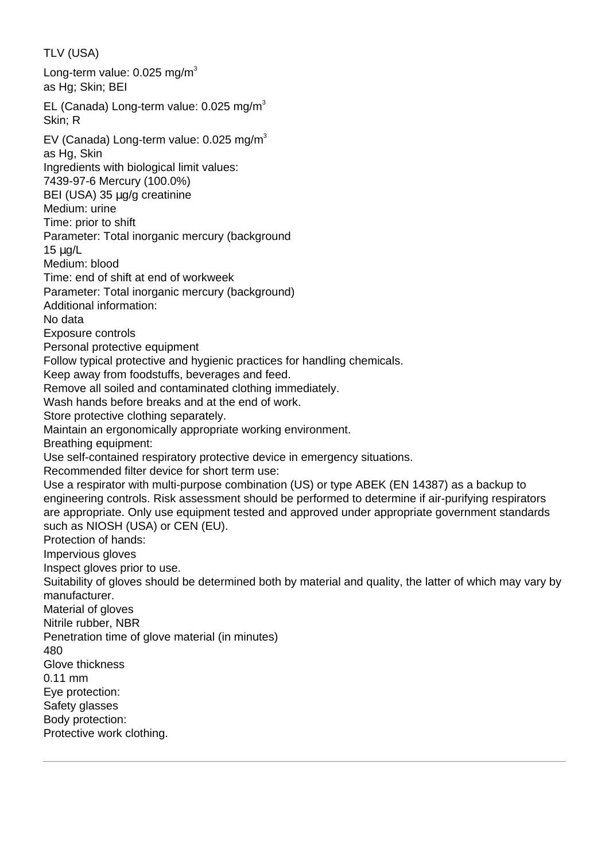TLV (USA) Long-term value:  $0.025$  mg/m<sup>3</sup> as Hg; Skin; BEI EL (Canada) Long-term value:  $0.025$  mg/m<sup>3</sup> Skin; R EV (Canada) Long-term value:  $0.025$  mg/m<sup>3</sup> as Hg, Skin Ingredients with biological limit values: 7439-97-6 Mercury (100.0%) BEI (USA) 35 µg/g creatinine Medium: urine Time: prior to shift Parameter: Total inorganic mercury (background 15 µg/L Medium: blood Time: end of shift at end of workweek Parameter: Total inorganic mercury (background) Additional information: No data Exposure controls Personal protective equipment Follow typical protective and hygienic practices for handling chemicals. Keep away from foodstuffs, beverages and feed. Remove all soiled and contaminated clothing immediately. Wash hands before breaks and at the end of work. Store protective clothing separately. Maintain an ergonomically appropriate working environment. Breathing equipment: Use self-contained respiratory protective device in emergency situations. Recommended filter device for short term use: Use a respirator with multi-purpose combination (US) or type ABEK (EN 14387) as a backup to engineering controls. Risk assessment should be performed to determine if air-purifying respirators are appropriate. Only use equipment tested and approved under appropriate government standards such as NIOSH (USA) or CEN (EU). Protection of hands: Impervious gloves Inspect gloves prior to use. Suitability of gloves should be determined both by material and quality, the latter of which may vary by manufacturer. Material of gloves Nitrile rubber, NBR Penetration time of glove material (in minutes) 480 Glove thickness 0.11 mm Eye protection: Safety glasses Body protection: Protective work clothing.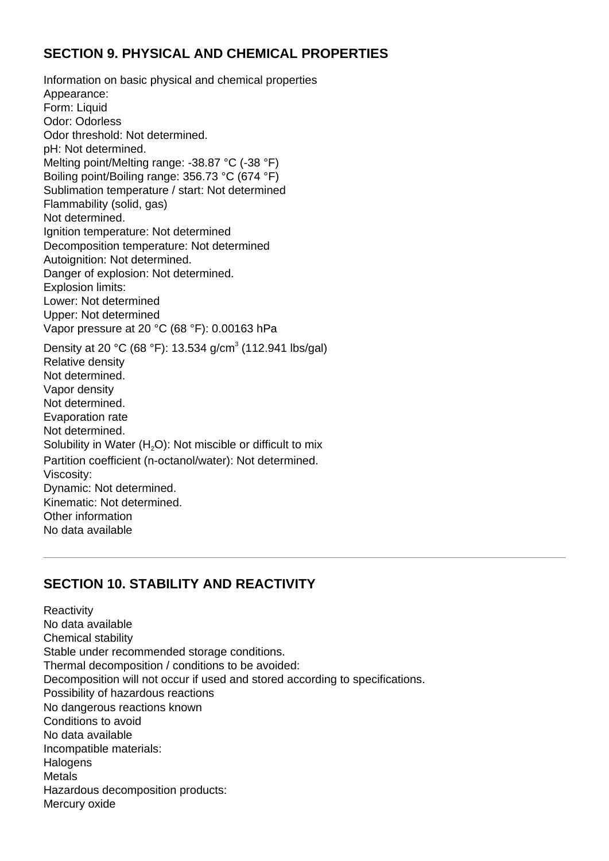#### **SECTION 9. PHYSICAL AND CHEMICAL PROPERTIES**

Information on basic physical and chemical properties Appearance: Form: Liquid Odor: Odorless Odor threshold: Not determined. pH: Not determined. Melting point/Melting range: -38.87 °C (-38 °F) Boiling point/Boiling range: 356.73 °C (674 °F) Sublimation temperature / start: Not determined Flammability (solid, gas) Not determined. Ignition temperature: Not determined Decomposition temperature: Not determined Autoignition: Not determined. Danger of explosion: Not determined. Explosion limits: Lower: Not determined Upper: Not determined Vapor pressure at 20 °C (68 °F): 0.00163 hPa Density at 20 °C (68 °F): 13.534 g/cm<sup>3</sup> (112.941 lbs/gal) Relative density Not determined. Vapor density Not determined. Evaporation rate Not determined. Solubility in Water  $(H<sub>2</sub>O)$ : Not miscible or difficult to mix Partition coefficient (n-octanol/water): Not determined. Viscosity: Dynamic: Not determined. Kinematic: Not determined. Other information No data available

## **SECTION 10. STABILITY AND REACTIVITY**

**Reactivity** No data available Chemical stability Stable under recommended storage conditions. Thermal decomposition / conditions to be avoided: Decomposition will not occur if used and stored according to specifications. Possibility of hazardous reactions No dangerous reactions known Conditions to avoid No data available Incompatible materials: **Halogens** Metals Hazardous decomposition products: Mercury oxide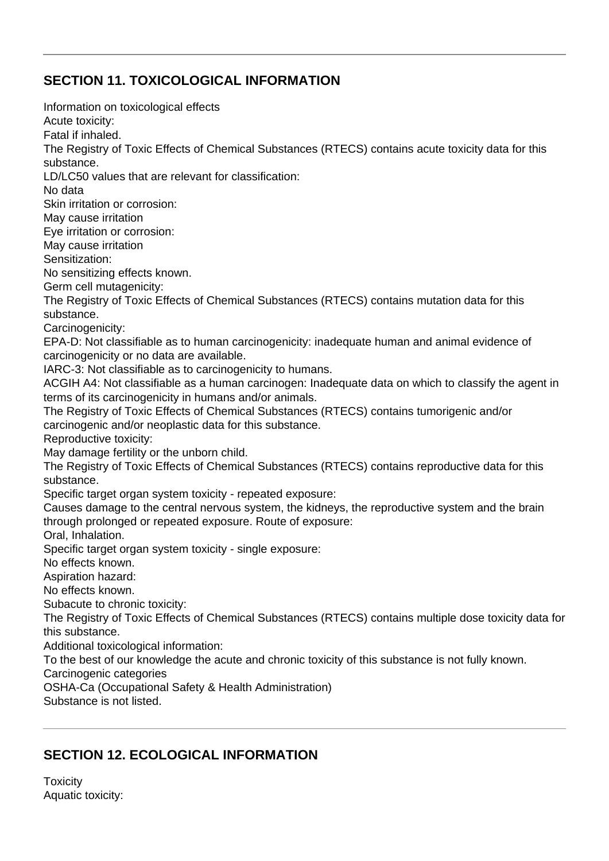## **SECTION 11. TOXICOLOGICAL INFORMATION**

Information on toxicological effects Acute toxicity: Fatal if inhaled. The Registry of Toxic Effects of Chemical Substances (RTECS) contains acute toxicity data for this substance. LD/LC50 values that are relevant for classification: No data Skin irritation or corrosion: May cause irritation Eye irritation or corrosion: May cause irritation Sensitization: No sensitizing effects known. Germ cell mutagenicity: The Registry of Toxic Effects of Chemical Substances (RTECS) contains mutation data for this substance. Carcinogenicity: EPA-D: Not classifiable as to human carcinogenicity: inadequate human and animal evidence of carcinogenicity or no data are available. IARC-3: Not classifiable as to carcinogenicity to humans. ACGIH A4: Not classifiable as a human carcinogen: Inadequate data on which to classify the agent in terms of its carcinogenicity in humans and/or animals. The Registry of Toxic Effects of Chemical Substances (RTECS) contains tumorigenic and/or carcinogenic and/or neoplastic data for this substance. Reproductive toxicity: May damage fertility or the unborn child. The Registry of Toxic Effects of Chemical Substances (RTECS) contains reproductive data for this substance. Specific target organ system toxicity - repeated exposure: Causes damage to the central nervous system, the kidneys, the reproductive system and the brain through prolonged or repeated exposure. Route of exposure: Oral, Inhalation. Specific target organ system toxicity - single exposure: No effects known. Aspiration hazard: No effects known. Subacute to chronic toxicity: The Registry of Toxic Effects of Chemical Substances (RTECS) contains multiple dose toxicity data for this substance. Additional toxicological information: To the best of our knowledge the acute and chronic toxicity of this substance is not fully known. Carcinogenic categories OSHA-Ca (Occupational Safety & Health Administration) Substance is not listed.

## **SECTION 12. ECOLOGICAL INFORMATION**

**Toxicity** Aquatic toxicity: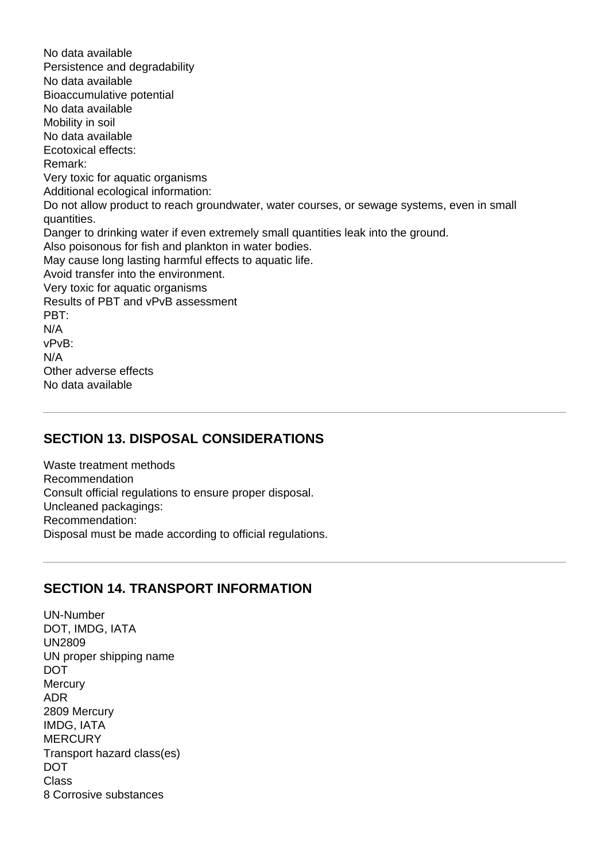No data available Persistence and degradability No data available Bioaccumulative potential No data available Mobility in soil No data available Ecotoxical effects: Remark: Very toxic for aquatic organisms Additional ecological information: Do not allow product to reach groundwater, water courses, or sewage systems, even in small quantities. Danger to drinking water if even extremely small quantities leak into the ground. Also poisonous for fish and plankton in water bodies. May cause long lasting harmful effects to aquatic life. Avoid transfer into the environment. Very toxic for aquatic organisms Results of PBT and vPvB assessment PBT: N/A vPvB: N/A Other adverse effects No data available

#### **SECTION 13. DISPOSAL CONSIDERATIONS**

Waste treatment methods Recommendation Consult official regulations to ensure proper disposal. Uncleaned packagings: Recommendation: Disposal must be made according to official regulations.

#### **SECTION 14. TRANSPORT INFORMATION**

UN-Number DOT, IMDG, IATA UN2809 UN proper shipping name DOT **Mercury** ADR 2809 Mercury IMDG, IATA **MERCURY** Transport hazard class(es) DOT Class 8 Corrosive substances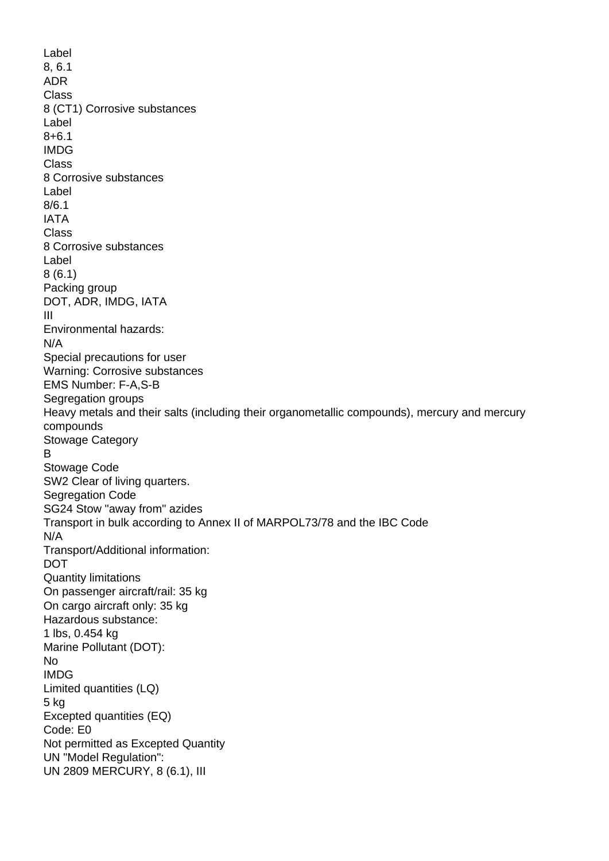Label 8, 6.1 ADR Class 8 (CT1) Corrosive substances Label 8+6.1 IMDG Class 8 Corrosive substances Label 8/6.1 IATA Class 8 Corrosive substances Label 8 (6.1) Packing group DOT, ADR, IMDG, IATA III Environmental hazards: N/A Special precautions for user Warning: Corrosive substances EMS Number: F-A,S-B Segregation groups Heavy metals and their salts (including their organometallic compounds), mercury and mercury compounds Stowage Category B Stowage Code SW2 Clear of living quarters. Segregation Code SG24 Stow "away from" azides Transport in bulk according to Annex II of MARPOL73/78 and the IBC Code N/A Transport/Additional information: DOT Quantity limitations On passenger aircraft/rail: 35 kg On cargo aircraft only: 35 kg Hazardous substance: 1 lbs, 0.454 kg Marine Pollutant (DOT): No IMDG Limited quantities (LQ) 5 kg Excepted quantities (EQ) Code: E0 Not permitted as Excepted Quantity UN "Model Regulation": UN 2809 MERCURY, 8 (6.1), III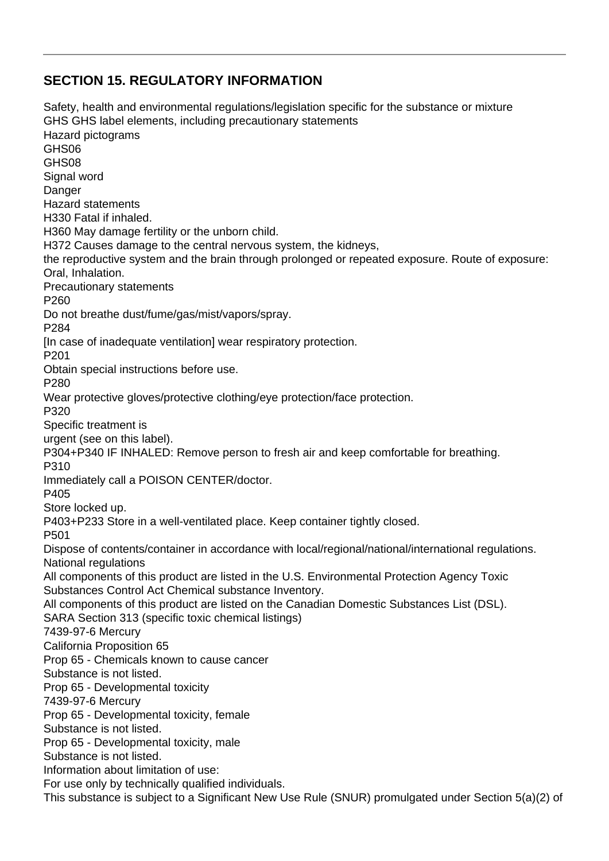## **SECTION 15. REGULATORY INFORMATION**

Safety, health and environmental regulations/legislation specific for the substance or mixture GHS GHS label elements, including precautionary statements Hazard pictograms GHS06 GHS08 Signal word Danger Hazard statements H330 Fatal if inhaled. H360 May damage fertility or the unborn child. H372 Causes damage to the central nervous system, the kidneys, the reproductive system and the brain through prolonged or repeated exposure. Route of exposure: Oral, Inhalation. Precautionary statements P260 Do not breathe dust/fume/gas/mist/vapors/spray. P284 [In case of inadequate ventilation] wear respiratory protection. P201 Obtain special instructions before use. P280 Wear protective gloves/protective clothing/eye protection/face protection. P320 Specific treatment is urgent (see on this label). P304+P340 IF INHALED: Remove person to fresh air and keep comfortable for breathing. P310 Immediately call a POISON CENTER/doctor. P405 Store locked up. P403+P233 Store in a well-ventilated place. Keep container tightly closed. P501 Dispose of contents/container in accordance with local/regional/national/international regulations. National regulations All components of this product are listed in the U.S. Environmental Protection Agency Toxic Substances Control Act Chemical substance Inventory. All components of this product are listed on the Canadian Domestic Substances List (DSL). SARA Section 313 (specific toxic chemical listings) 7439-97-6 Mercury California Proposition 65 Prop 65 - Chemicals known to cause cancer Substance is not listed. Prop 65 - Developmental toxicity 7439-97-6 Mercury Prop 65 - Developmental toxicity, female Substance is not listed. Prop 65 - Developmental toxicity, male Substance is not listed. Information about limitation of use: For use only by technically qualified individuals. This substance is subject to a Significant New Use Rule (SNUR) promulgated under Section 5(a)(2) of